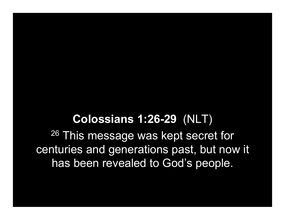## Colossians 1:26-29 (NLT)

<sup>26</sup> This message was kept secret for centuries and generations past, but now it has been revealed to God's people.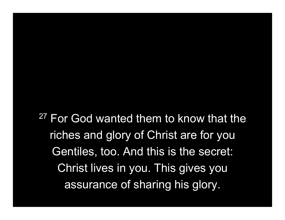<sup>27</sup> For God wanted them to know that the riches and glory of Christ are for you Gentiles, too. And this is the secret: Christ lives in you. This gives you assurance of sharing his glory.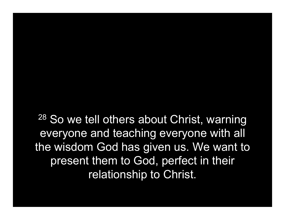<sup>28</sup> So we tell others about Christ, warning everyone and teaching everyone with all the wisdom God has given us. We want to present them to God, perfect in their relationship to Christ.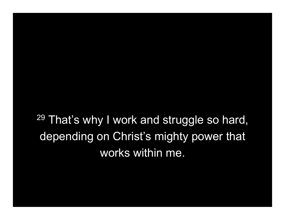<sup>29</sup> That's why I work and struggle so hard, depending on Christ's mighty power that works within me.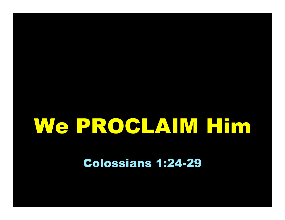## We PROCLAIM Him

Colossians 1:24-29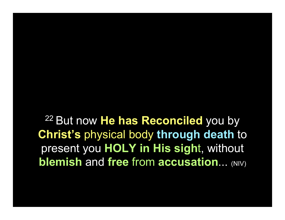<sup>22</sup> But now He has Reconciled you by Christ's physical body through death to present you HOLY in His sight, without **blemish and free from accusation... (NIV)**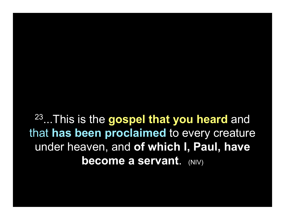<sup>23</sup>...This is the gospel that you heard and that has been proclaimed to every creature under heaven, and of which I, Paul, have **become a servant.** (NIV)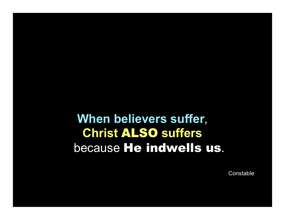## When believers suffer, Christ ALSO suffers because He indwells us.

**Constable**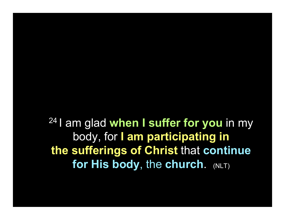24 I am glad when I suffer for you in my body, for I am participating in the sufferings of Christ that continue for His body, the church. (NLT)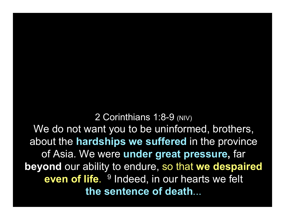2 Corinthians 1:8-9 (NIV) We do not want you to be uninformed, brothers, about the hardships we suffered in the province of Asia. We were under great pressure, far beyond our ability to endure, so that we despaired even of life. <sup>9</sup> Indeed, in our hearts we felt the sentence of death...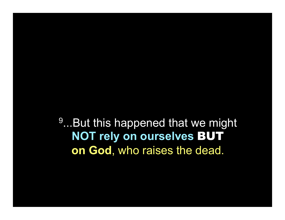<sup>9</sup>...But this happened that we might NOT rely on ourselves BUT on God, who raises the dead.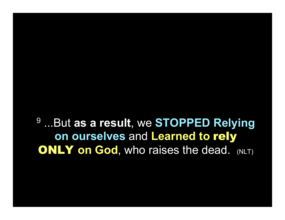<sup>9</sup> ...But as a result, we STOPPED Relying on ourselves and Learned to rely **ONLY on God, who raises the dead.** (NLT)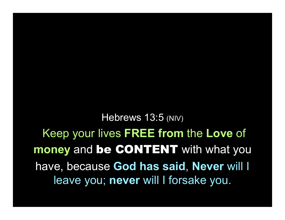Hebrews 13:5 (NIV)

Keep your lives FREE from the Love of money and be CONTENT with what you have, because God has said, Never will I leave you; never will I forsake you.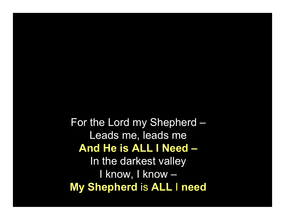For the Lord my Shepherd – Leads me, leads me And He is ALL I Need – In the darkest valley I know, I know – My Shepherd is ALL I need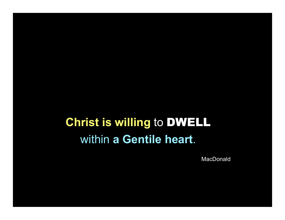## Christ is willing to DWELL within a Gentile heart.

MacDonald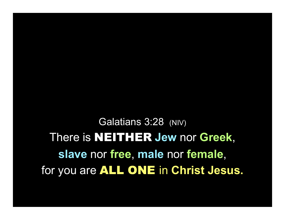Galatians 3:28 (NIV) There is NEITHER Jew nor Greek, slave nor free, male nor female, for you are **ALL ONE** in Christ Jesus.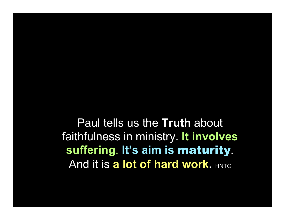Paul tells us the Truth about faithfulness in ministry. It involves suffering. It's aim is maturity. And it is a lot of hard work. HNTC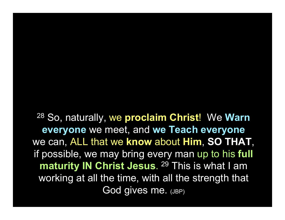<sup>28</sup> So, naturally, we proclaim Christ! We Warn everyone we meet, and we Teach everyone we can, ALL that we know about Him, SO THAT, if possible, we may bring every man up to his full maturity IN Christ Jesus. <sup>29</sup> This is what I am working at all the time, with all the strength that God gives me. (JBP)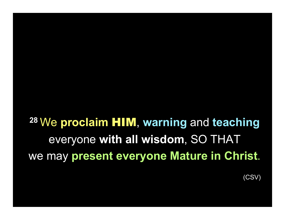<sup>28</sup> We proclaim HIM, warning and teaching everyone with all wisdom, SO THAT we may present everyone Mature in Christ.

(CSV)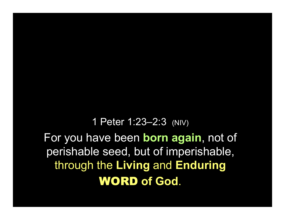1 Peter 1:23–2:3 (NIV) For you have been **born again**, not of perishable seed, but of imperishable, through the Living and Enduring WORD of God.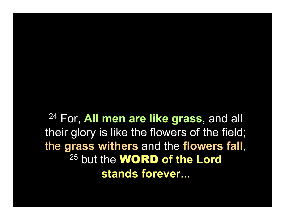<sup>24</sup> For, All men are like grass, and all their glory is like the flowers of the field; the grass withers and the flowers fall, <sup>25</sup> but the **WORD** of the Lord stands forever...